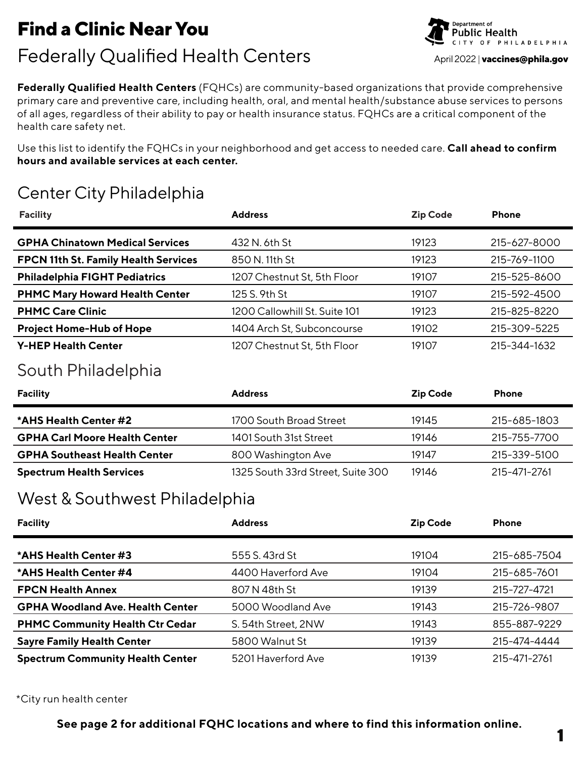# **Find a Clinic Near You** Find a Clinic Near You<br> **Federally Qualified Health Centers** April 2022 | vaccines@phila.gov

**Federally Qualified Health Centers** (FQHCs) are community-based organizations that provide comprehensive primary care and preventive care, including health, oral, and mental health/substance abuse services to persons of all ages, regardless of their ability to pay or health insurance status. FQHCs are a critical component of the health care safety net.

Use this list to identify the FQHCs in your neighborhood and get access to needed care. **Call ahead to confirm hours and available services at each center.**

# Center City Philadelphia

| <b>Facility</b>                        | <b>Address</b>                | <b>Zip Code</b> | <b>Phone</b> |
|----------------------------------------|-------------------------------|-----------------|--------------|
| <b>GPHA Chinatown Medical Services</b> | 432 N. 6th St                 | 19123           | 215-627-8000 |
| FPCN 11th St. Family Health Services   | 850 N. 11th St                | 19123           | 215-769-1100 |
| <b>Philadelphia FIGHT Pediatrics</b>   | 1207 Chestnut St, 5th Floor   | 19107           | 215-525-8600 |
| <b>PHMC Mary Howard Health Center</b>  | 125 S. 9th St                 | 19107           | 215-592-4500 |
| <b>PHMC Care Clinic</b>                | 1200 Callowhill St. Suite 101 | 19123           | 215-825-8220 |
| <b>Project Home-Hub of Hope</b>        | 1404 Arch St, Subconcourse    | 19102           | 215-309-5225 |
| <b>Y-HEP Health Center</b>             | 1207 Chestnut St, 5th Floor   | 19107           | 215-344-1632 |

# South Philadelphia

| <b>Facility</b>                      | <b>Address</b>                    | <b>Zip Code</b> | <b>Phone</b> |
|--------------------------------------|-----------------------------------|-----------------|--------------|
| *AHS Health Center #2                | 1700 South Broad Street           | 19145           | 215-685-1803 |
| <b>GPHA Carl Moore Health Center</b> | 1401 South 31st Street            | 19146           | 215-755-7700 |
| <b>GPHA Southeast Health Center</b>  | 800 Washington Ave                | 19147           | 215-339-5100 |
| <b>Spectrum Health Services</b>      | 1325 South 33rd Street, Suite 300 | 19146           | 215-471-2761 |

### West & Southwest Philadelphia

| <b>Facility</b>                         | <b>Address</b>      | <b>Zip Code</b> | <b>Phone</b> |
|-----------------------------------------|---------------------|-----------------|--------------|
| *AHS Health Center #3                   | 555 S. 43rd St      | 19104           | 215-685-7504 |
| *AHS Health Center #4                   | 4400 Haverford Ave  | 19104           | 215-685-7601 |
| <b>FPCN Health Annex</b>                | 807 N 48th St       | 19139           | 215-727-4721 |
| <b>GPHA Woodland Ave. Health Center</b> | 5000 Woodland Ave   | 19143           | 215-726-9807 |
| <b>PHMC Community Health Ctr Cedar</b>  | S. 54th Street, 2NW | 19143           | 855-887-9229 |
| <b>Sayre Family Health Center</b>       | 5800 Walnut St      | 19139           | 215-474-4444 |
| <b>Spectrum Community Health Center</b> | 5201 Haverford Ave  | 19139           | 215-471-2761 |

\*City run health center

**See page 2 for additional FQHC locations and where to find this information online.**